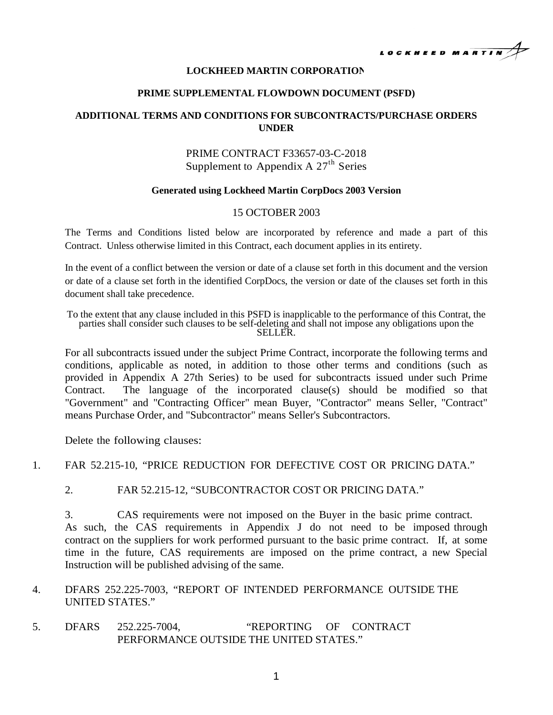

#### **LOCKHEED MARTIN CORPORATION**

#### **PRIME SUPPLEMENTAL FLOWDOWN DOCUMENT (PSFD)**

## **ADDITIONAL TERMS AND CONDITIONS FOR SUBCONTRACTS/PURCHASE ORDERS UNDER**

# PRIME CONTRACT F33657-03-C-2018 Supplement to Appendix A  $27<sup>th</sup>$  Series

#### **Generated using Lockheed Martin CorpDocs 2003 Version**

### 15 OCTOBER 2003

The Terms and Conditions listed below are incorporated by reference and made a part of this Contract. Unless otherwise limited in this Contract, each document applies in its entirety.

In the event of a conflict between the version or date of a clause set forth in this document and the version or date of a clause set forth in the identified CorpDocs, the version or date of the clauses set forth in this document shall take precedence.

To the extent that any clause included in this PSFD is inapplicable to the performance of this Contrat, the parties shall consider such clauses to be self-deleting and shall not impose any obligations upon the SELLER.

For all subcontracts issued under the subject Prime Contract, incorporate the following terms and conditions, applicable as noted, in addition to those other terms and conditions (such as provided in Appendix A 27th Series) to be used for subcontracts issued under such Prime Contract. The language of the incorporated clause(s) should be modified so that "Government" and "Contracting Officer" mean Buyer, "Contractor" means Seller, "Contract" means Purchase Order, and "Subcontractor" means Seller's Subcontractors.

Delete the following clauses:

### 1. FAR 52.215-10, "PRICE REDUCTION FOR DEFECTIVE COST OR PRICING DATA."

2. FAR 52.215-12, "SUBCONTRACTOR COST OR PRICING DATA."

3. CAS requirements were not imposed on the Buyer in the basic prime contract. As such, the CAS requirements in Appendix J do not need to be imposed through contract on the suppliers for work performed pursuant to the basic prime contract. If, at some time in the future, CAS requirements are imposed on the prime contract, a new Special Instruction will be published advising of the same.

- 4. DFARS 252.225-7003, "REPORT OF INTENDED PERFORMANCE OUTSIDE THE UNITED STATES."
- 5. DFARS 252.225-7004, "REPORTING OF CONTRACT PERFORMANCE OUTSIDE THE UNITED STATES."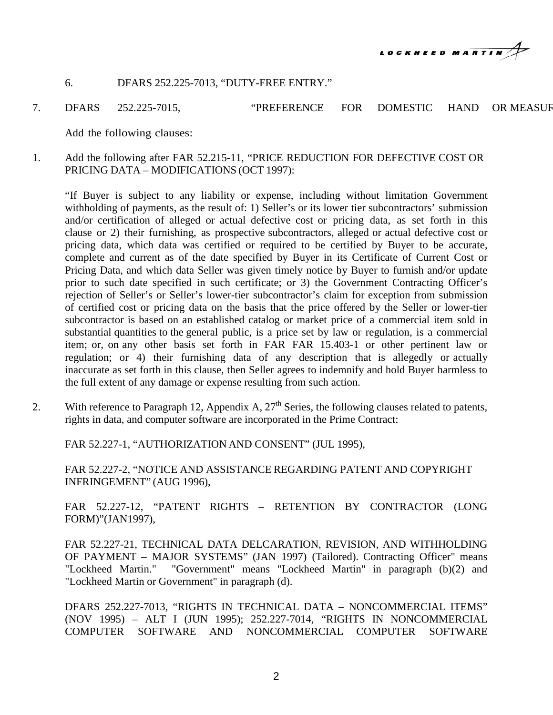

## 6. DFARS 252.225-7013, "DUTY-FREE ENTRY."

7. DFARS 252.225-7015, "PREFERENCE FOR DOMESTIC HAND OR MEASUR

Add the following clauses:

1. Add the following after FAR 52.215-11, "PRICE REDUCTION FOR DEFECTIVE COST OR PRICING DATA – MODIFICATIONS (OCT 1997):

"If Buyer is subject to any liability or expense, including without limitation Government withholding of payments, as the result of: 1) Seller's or its lower tier subcontractors' submission and/or certification of alleged or actual defective cost or pricing data, as set forth in this clause or 2) their furnishing, as prospective subcontractors, alleged or actual defective cost or pricing data, which data was certified or required to be certified by Buyer to be accurate, complete and current as of the date specified by Buyer in its Certificate of Current Cost or Pricing Data, and which data Seller was given timely notice by Buyer to furnish and/or update prior to such date specified in such certificate; or 3) the Government Contracting Officer's rejection of Seller's or Seller's lower-tier subcontractor's claim for exception from submission of certified cost or pricing data on the basis that the price offered by the Seller or lower-tier subcontractor is based on an established catalog or market price of a commercial item sold in substantial quantities to the general public, is a price set by law or regulation, is a commercial item; or, on any other basis set forth in FAR FAR 15.403-1 or other pertinent law or regulation; or 4) their furnishing data of any description that is allegedly or actually inaccurate as set forth in this clause, then Seller agrees to indemnify and hold Buyer harmless to the full extent of any damage or expense resulting from such action.

2. With reference to Paragraph 12, Appendix A,  $27<sup>th</sup>$  Series, the following clauses related to patents, rights in data, and computer software are incorporated in the Prime Contract:

FAR 52.227-1, "AUTHORIZATION AND CONSENT" (JUL 1995),

FAR 52.227-2, "NOTICE AND ASSISTANCE REGARDING PATENT AND COPYRIGHT INFRINGEMENT" (AUG 1996),

FAR 52.227-12, "PATENT RIGHTS – RETENTION BY CONTRACTOR (LONG FORM)"(JAN1997),

FAR 52.227-21, TECHNICAL DATA DELCARATION, REVISION, AND WITHHOLDING OF PAYMENT – MAJOR SYSTEMS" (JAN 1997) (Tailored). Contracting Officer" means "Lockheed Martin." "Government" means "Lockheed Martin" in paragraph (b)(2) and "Lockheed Martin or Government" in paragraph (d).

DFARS 252.227-7013, "RIGHTS IN TECHNICAL DATA – NONCOMMERCIAL ITEMS" (NOV 1995) – ALT I (JUN 1995); 252.227-7014, "RIGHTS IN NONCOMMERCIAL COMPUTER SOFTWARE AND NONCOMMERCIAL COMPUTER SOFTWARE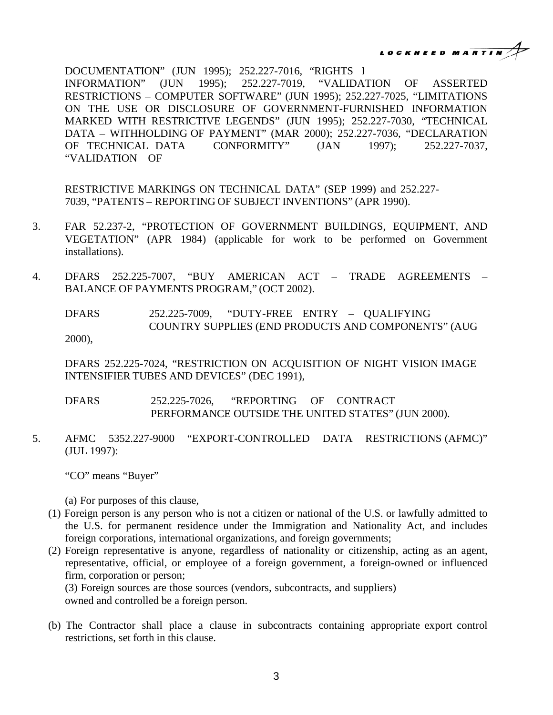**MARTIN** 

DOCUMENTATION" (JUN 1995); 252.227-7016, "RIGHTS I INFORMATION" (JUN 1995); 252.227-7019, "VALIDATION OF ASSERTED RESTRICTIONS – COMPUTER SOFTWARE" (JUN 1995); 252.227-7025, "LIMITATIONS ON THE USE OR DISCLOSURE OF GOVERNMENT-FURNISHED INFORMATION MARKED WITH RESTRICTIVE LEGENDS" (JUN 1995); 252.227-7030, "TECHNICAL DATA – WITHHOLDING OF PAYMENT" (MAR 2000); 252.227-7036, "DECLARATION OF TECHNICAL DATA CONFORMITY" (JAN 1997); 252.227-7037, "VALIDATION OF

RESTRICTIVE MARKINGS ON TECHNICAL DATA" (SEP 1999) and 252.227- 7039, "PATENTS – REPORTING OF SUBJECT INVENTIONS" (APR 1990).

- 3. FAR 52.237-2, "PROTECTION OF GOVERNMENT BUILDINGS, EQUIPMENT, AND VEGETATION" (APR 1984) (applicable for work to be performed on Government installations).
- 4. DFARS 252.225-7007, "BUY AMERICAN ACT TRADE AGREEMENTS BALANCE OF PAYMENTS PROGRAM," (OCT 2002).

DFARS 252.225-7009, "DUTY-FREE ENTRY – QUALIFYING COUNTRY SUPPLIES (END PRODUCTS AND COMPONENTS" (AUG 2000),

DFARS 252.225-7024, "RESTRICTION ON ACQUISITION OF NIGHT VISION IMAGE INTENSIFIER TUBES AND DEVICES" (DEC 1991),

DFARS 252.225-7026, "REPORTING OF CONTRACT PERFORMANCE OUTSIDE THE UNITED STATES" (JUN 2000).

5. AFMC 5352.227-9000 "EXPORT-CONTROLLED DATA RESTRICTIONS (AFMC)" (JUL 1997):

"CO" means "Buyer"

(a) For purposes of this clause,

- (1) Foreign person is any person who is not a citizen or national of the U.S. or lawfully admitted to the U.S. for permanent residence under the Immigration and Nationality Act, and includes foreign corporations, international organizations, and foreign governments;
- (2) Foreign representative is anyone, regardless of nationality or citizenship, acting as an agent, representative, official, or employee of a foreign government, a foreign-owned or influenced firm, corporation or person;

(3) Foreign sources are those sources (vendors, subcontracts, and suppliers) owned and controlled be a foreign person.

(b) The Contractor shall place a clause in subcontracts containing appropriate export control restrictions, set forth in this clause.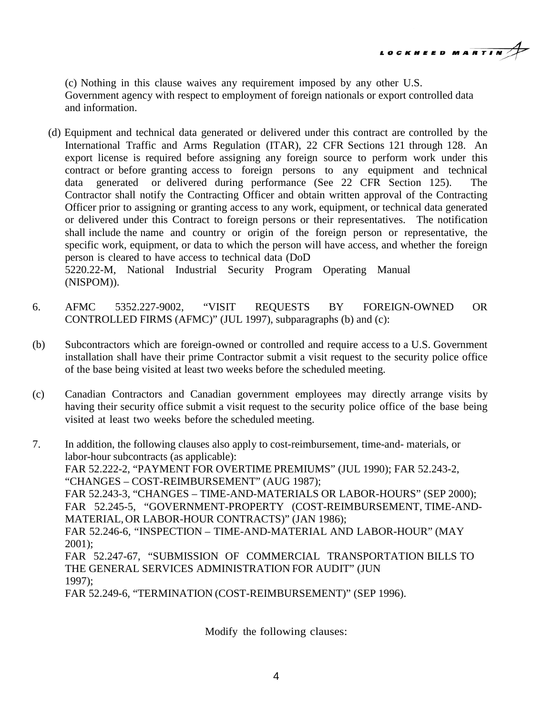LOCKHEED MARTIN

(c) Nothing in this clause waives any requirement imposed by any other U.S. Government agency with respect to employment of foreign nationals or export controlled data and information.

(d) Equipment and technical data generated or delivered under this contract are controlled by the International Traffic and Arms Regulation (ITAR), 22 CFR Sections 121 through 128. An export license is required before assigning any foreign source to perform work under this contract or before granting access to foreign persons to any equipment and technical data generated or delivered during performance (See 22 CFR Section 125). The Contractor shall notify the Contracting Officer and obtain written approval of the Contracting Officer prior to assigning or granting access to any work, equipment, or technical data generated or delivered under this Contract to foreign persons or their representatives. The notification shall include the name and country or origin of the foreign person or representative, the specific work, equipment, or data to which the person will have access, and whether the foreign person is cleared to have access to technical data (DoD 5220.22-M, National Industrial Security Program Operating Manual

(NISPOM)).

- 6. AFMC 5352.227-9002, "VISIT REQUESTS BY FOREIGN-OWNED OR CONTROLLED FIRMS (AFMC)" (JUL 1997), subparagraphs (b) and (c):
- (b) Subcontractors which are foreign-owned or controlled and require access to a U.S. Government installation shall have their prime Contractor submit a visit request to the security police office of the base being visited at least two weeks before the scheduled meeting.
- (c) Canadian Contractors and Canadian government employees may directly arrange visits by having their security office submit a visit request to the security police office of the base being visited at least two weeks before the scheduled meeting.
- 7. In addition, the following clauses also apply to cost-reimbursement, time-and- materials, or labor-hour subcontracts (as applicable): FAR 52.222-2, "PAYMENT FOR OVERTIME PREMIUMS" (JUL 1990); FAR 52.243-2, "CHANGES – COST-REIMBURSEMENT" (AUG 1987); FAR 52.243-3, "CHANGES – TIME-AND-MATERIALS OR LABOR-HOURS" (SEP 2000); FAR 52.245-5, "GOVERNMENT-PROPERTY (COST-REIMBURSEMENT, TIME-AND-MATERIAL, OR LABOR-HOUR CONTRACTS)" (JAN 1986); FAR 52.246-6, "INSPECTION – TIME-AND-MATERIAL AND LABOR-HOUR" (MAY 2001); FAR 52.247-67, "SUBMISSION OF COMMERCIAL TRANSPORTATION BILLS TO THE GENERAL SERVICES ADMINISTRATION FOR AUDIT" (JUN 1997); FAR 52.249-6, "TERMINATION (COST-REIMBURSEMENT)" (SEP 1996).

Modify the following clauses: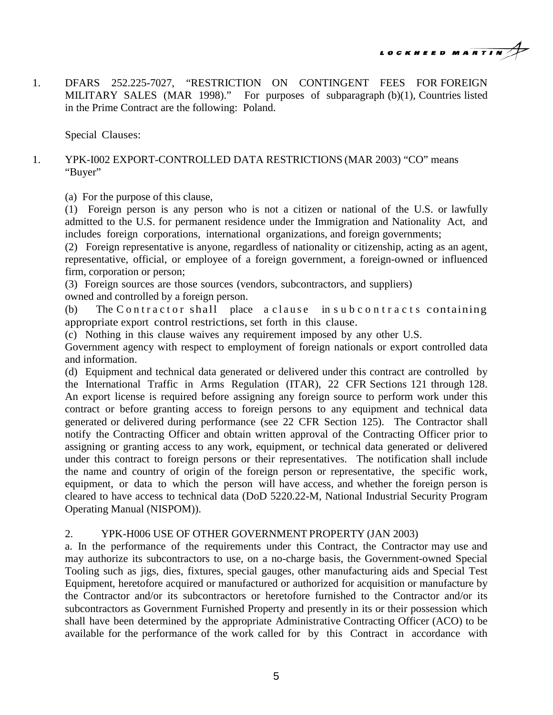LOCKHEED MARTIN

1. DFARS 252.225-7027, "RESTRICTION ON CONTINGENT FEES FOR FOREIGN MILITARY SALES (MAR 1998)." For purposes of subparagraph (b)(1), Countries listed in the Prime Contract are the following: Poland.

Special Clauses:

# 1. YPK-I002 EXPORT-CONTROLLED DATA RESTRICTIONS (MAR 2003) "CO" means "Buyer"

(a) For the purpose of this clause,

(1) Foreign person is any person who is not a citizen or national of the U.S. or lawfully admitted to the U.S. for permanent residence under the Immigration and Nationality Act, and includes foreign corporations, international organizations, and foreign governments;

(2) Foreign representative is anyone, regardless of nationality or citizenship, acting as an agent, representative, official, or employee of a foreign government, a foreign-owned or influenced firm, corporation or person;

(3) Foreign sources are those sources (vendors, subcontractors, and suppliers)

owned and controlled by a foreign person.

(b) The Contractor shall place a clause in subcontracts containing appropriate export control restrictions, set forth in this clause.

(c) Nothing in this clause waives any requirement imposed by any other U.S.

Government agency with respect to employment of foreign nationals or export controlled data and information.

(d) Equipment and technical data generated or delivered under this contract are controlled by the International Traffic in Arms Regulation (ITAR), 22 CFR Sections 121 through 128. An export license is required before assigning any foreign source to perform work under this contract or before granting access to foreign persons to any equipment and technical data generated or delivered during performance (see 22 CFR Section 125). The Contractor shall notify the Contracting Officer and obtain written approval of the Contracting Officer prior to assigning or granting access to any work, equipment, or technical data generated or delivered under this contract to foreign persons or their representatives. The notification shall include the name and country of origin of the foreign person or representative, the specific work, equipment, or data to which the person will have access, and whether the foreign person is cleared to have access to technical data (DoD 5220.22-M, National Industrial Security Program Operating Manual (NISPOM)).

# 2. YPK-H006 USE OF OTHER GOVERNMENT PROPERTY (JAN 2003)

a. In the performance of the requirements under this Contract, the Contractor may use and may authorize its subcontractors to use, on a no-charge basis, the Government-owned Special Tooling such as jigs, dies, fixtures, special gauges, other manufacturing aids and Special Test Equipment, heretofore acquired or manufactured or authorized for acquisition or manufacture by the Contractor and/or its subcontractors or heretofore furnished to the Contractor and/or its subcontractors as Government Furnished Property and presently in its or their possession which shall have been determined by the appropriate Administrative Contracting Officer (ACO) to be available for the performance of the work called for by this Contract in accordance with